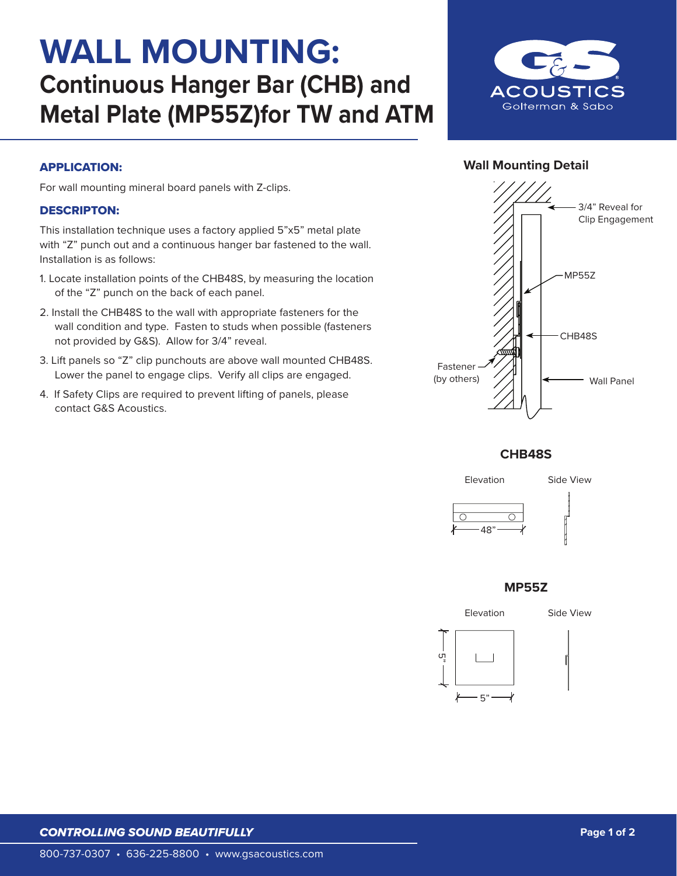# **WALL MOUNTING: Continuous Hanger Bar (CHB) and Metal Plate (MP55Z)for TW and ATM**



## **Wall Mounting Detail**

#### APPLICATION:

For wall mounting mineral board panels with Z-clips.

#### DESCRIPTON:

This installation technique uses a factory applied 5"x5" metal plate with "Z" punch out and a continuous hanger bar fastened to the wall. Installation is as follows:

- 1. Locate installation points of the CHB48S, by measuring the location of the "Z" punch on the back of each panel.
- 2. Install the CHB48S to the wall with appropriate fasteners for the wall condition and type. Fasten to studs when possible (fasteners not provided by G&S). Allow for 3/4" reveal.
- 3. Lift panels so "Z" clip punchouts are above wall mounted CHB48S. Lower the panel to engage clips. Verify all clips are engaged.
- 4. If Safety Clips are required to prevent lifting of panels, please contact G&S Acoustics.



**CHB48S**



#### **MP55Z**